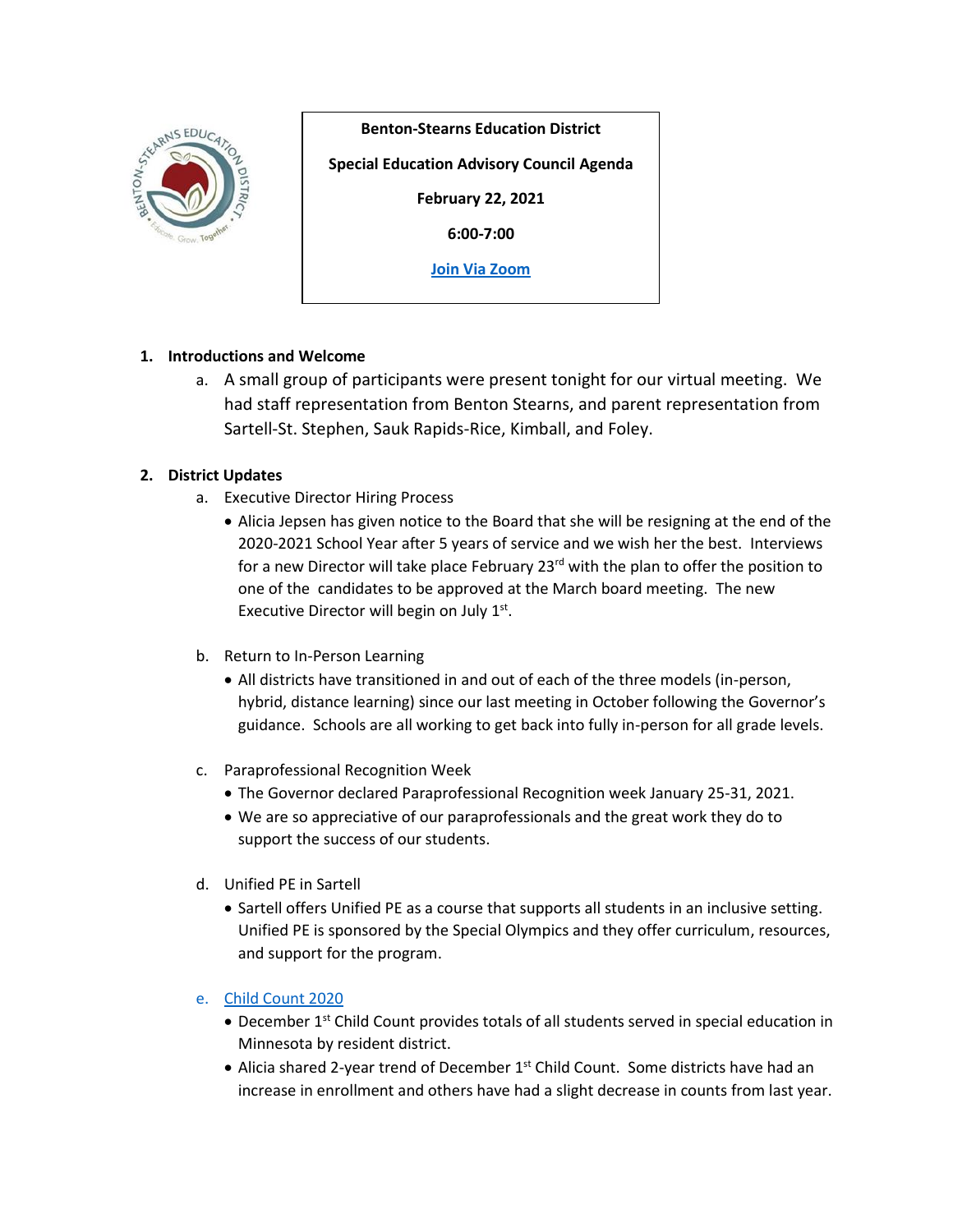

**Benton-Stearns Education District**

**Special Education Advisory Council Agenda**

**February 22, 2021**

**6:00-7:00**

**[Join Via Zoom](https://www.google.com/url?q=https://zoom.us/j/93049160286?pwd%3DQkpRK1Mwbkw5a3htT2RncUQ1b2dxdz09&sa=D&source=calendar&ust=1614437511657000&usg=AOvVaw2PHwhArMW-NCFfkETqnso-)**

# **1. Introductions and Welcome**

a. A small group of participants were present tonight for our virtual meeting. We had staff representation from Benton Stearns, and parent representation from Sartell-St. Stephen, Sauk Rapids-Rice, Kimball, and Foley.

# **2. District Updates**

- a. Executive Director Hiring Process
	- Alicia Jepsen has given notice to the Board that she will be resigning at the end of the 2020-2021 School Year after 5 years of service and we wish her the best. Interviews for a new Director will take place February 23<sup>rd</sup> with the plan to offer the position to one of the candidates to be approved at the March board meeting. The new Executive Director will begin on July  $1<sup>st</sup>$ .
- b. Return to In-Person Learning
	- All districts have transitioned in and out of each of the three models (in-person, hybrid, distance learning) since our last meeting in October following the Governor's guidance. Schools are all working to get back into fully in-person for all grade levels.
- c. Paraprofessional Recognition Week
	- The Governor declared Paraprofessional Recognition week January 25-31, 2021.
	- We are so appreciative of our paraprofessionals and the great work they do to support the success of our students.
- d. Unified PE in Sartell
	- Sartell offers Unified PE as a course that supports all students in an inclusive setting. Unified PE is sponsored by the Special Olympics and they offer curriculum, resources, and support for the program.

### e. [Child Count 2020](https://www.bentonstearns.k12.mn.us/child-count)

- December 1<sup>st</sup> Child Count provides totals of all students served in special education in Minnesota by resident district.
- Alicia shared 2-year trend of December  $1<sup>st</sup>$  Child Count. Some districts have had an increase in enrollment and others have had a slight decrease in counts from last year.